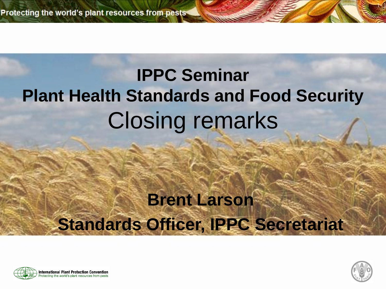### **IPPC Seminar Plant Health Standards and Food Security** Closing remarks

#### **Brent Larson Standards Officer, IPPC Secretariat**



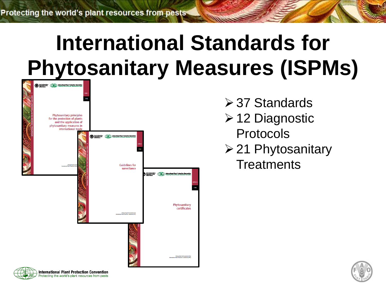## **International Standards for Phytosanitary Measures (ISPMs)**



rotecting the world's plant resources from pests

- **≻37 Standards**
- 12 Diagnostic Protocols
- $\geq$  21 Phytosanitary **Treatments**

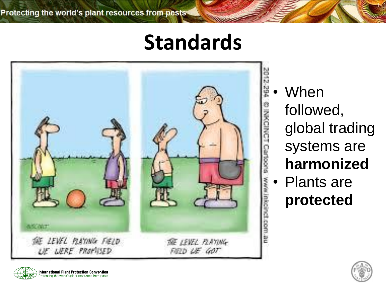### **Standards**



**When** followed, global trading systems are **harmonized** • Plants are **protected**



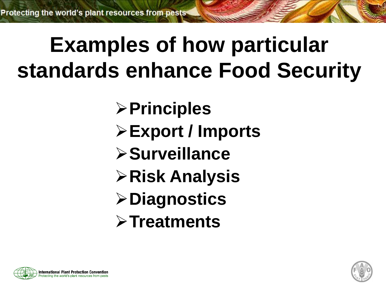## **Examples of how particular standards enhance Food Security**

- **Principles**
- **Export / Imports**
- **Surveillance**
- **Risk Analysis**
- **Diagnostics**
- **Treatments**



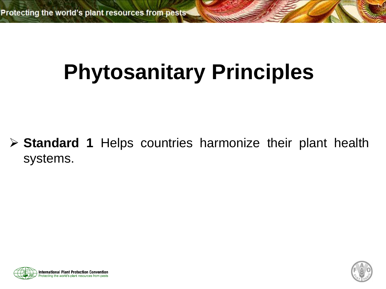## **Phytosanitary Principles**

 **Standard 1** Helps countries harmonize their plant health systems.



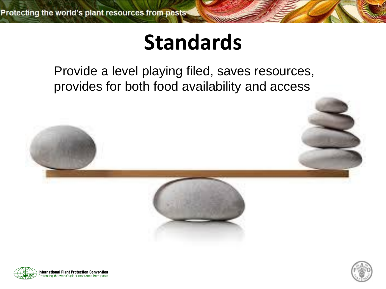### **Standards**

Provide a level playing filed, saves resources, provides for both food availability and access





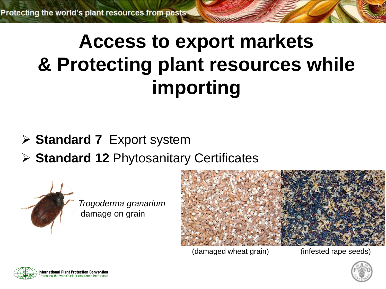### **Access to export markets & Protecting plant resources while importing**

- **Standard 7** Export system
- **Standard 12** Phytosanitary Certificates



(damaged wheat grain) (infested rape seeds)



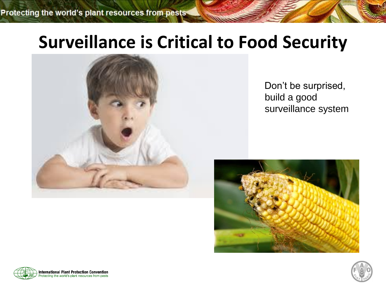#### **Surveillance is Critical to Food Security**



Don't be surprised, build a good surveillance system





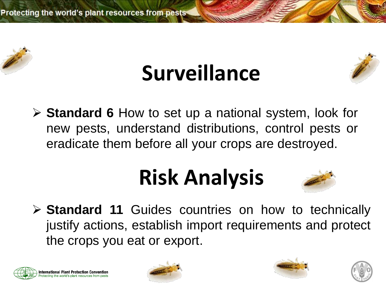

## **Surveillance**



 **Standard 6** How to set up a national system, look for new pests, understand distributions, control pests or eradicate them before all your crops are destroyed.

## **Risk Analysis**



 **Standard 11** Guides countries on how to technically justify actions, establish import requirements and protect the crops you eat or export.







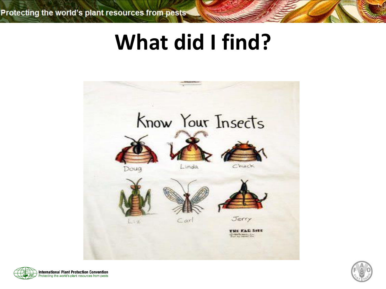### **What did I find?**





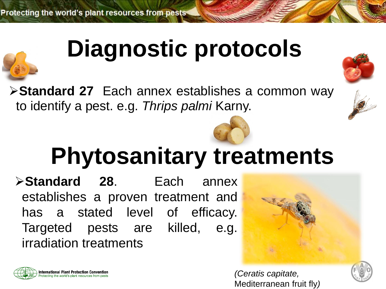

## **Diagnostic protocols**

**Standard 27** Each annex establishes a common way to identify a pest. e.g. *Thrips palmi* Karny.



## **Phytosanitary treatments**

**Standard 28**. Each annex establishes a proven treatment and has a stated level of efficacy. Targeted pests are killed, e.g. irradiation treatments



*(Ceratis capitate,*  Mediterranean fruit fly*)*

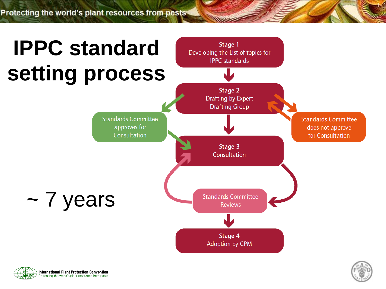Protecting the world's plant resources from pests